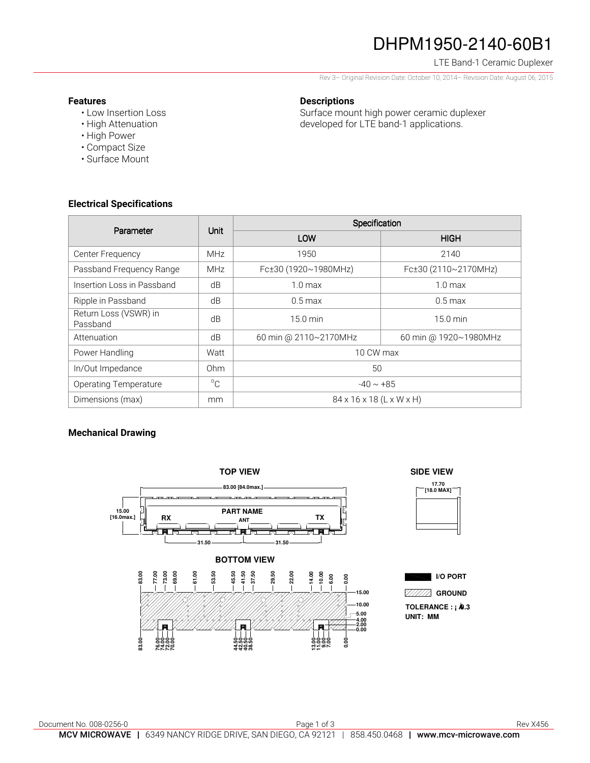# DHPM1950-2140-60B1

### LTE Band-1 Ceramic Duplexer

Rev 3– Original Revision Date: October 10, 2014– Revision Date: August 06, 2015

#### **Features**

- Low Insertion Loss
- High Attenuation
- High Power
- Compact Size
- Surface Mount

## **Descriptions**

Surface mount high power ceramic duplexer developed for LTE band-1 applications.

## **Electrical Specifications**

| Parameter                         | Unit        | Specification            |                       |
|-----------------------------------|-------------|--------------------------|-----------------------|
|                                   |             | LOW                      | <b>HIGH</b>           |
| Center Frequency                  | <b>MHz</b>  | 1950                     | 2140                  |
| Passband Frequency Range          | <b>MHz</b>  | Fc±30 (1920~1980MHz)     | Fc±30 (2110~2170MHz)  |
| Insertion Loss in Passband        | dB          | $1.0 \text{ max}$        | $1.0 \text{ max}$     |
| Ripple in Passband                | dB          | $0.5 \,\mathrm{max}$     | $0.5 \text{ max}$     |
| Return Loss (VSWR) in<br>Passband | dB          | 15.0 min                 | $15.0 \text{ min}$    |
| Attenuation                       | dB          | 60 min @ 2110~2170MHz    | 60 min @ 1920~1980MHz |
| Power Handling                    | Watt        | 10 CW max                |                       |
| In/Out Impedance                  | Ohm         | 50                       |                       |
| <b>Operating Temperature</b>      | $^{\circ}C$ | $-40 \sim +85$           |                       |
| Dimensions (max)                  | mm          | 84 x 16 x 18 (L x W x H) |                       |

### **Mechanical Drawing**



**SIDE VIEW**



**I/O PORT GROUND**

**UNIT: MM TOLERANCE : ¡ À 0.3**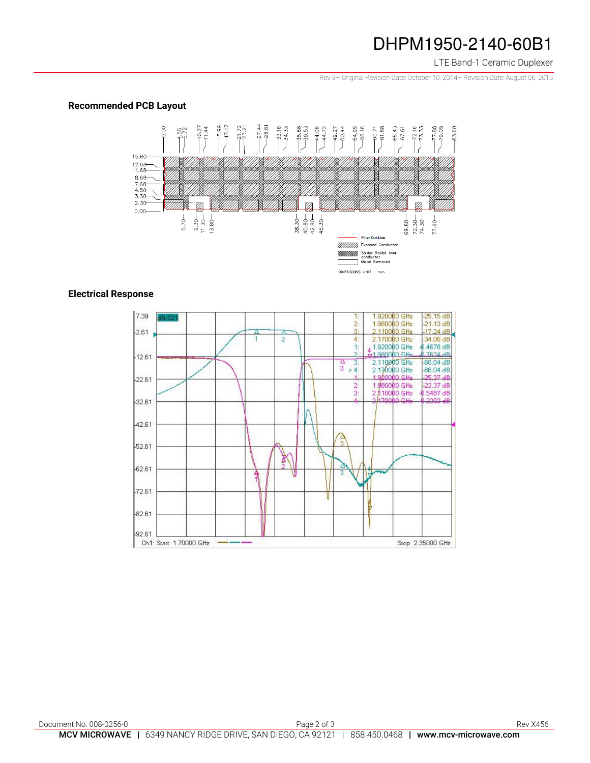## DHPM1950-2140-60B1

LTE Band-1 Ceramic Duplexer

Rev 3– Original Revision Date: October 10, 2014– Revision Date: August 06, 2015

### **Recommended PCB Layout**



### **Electrical Response**